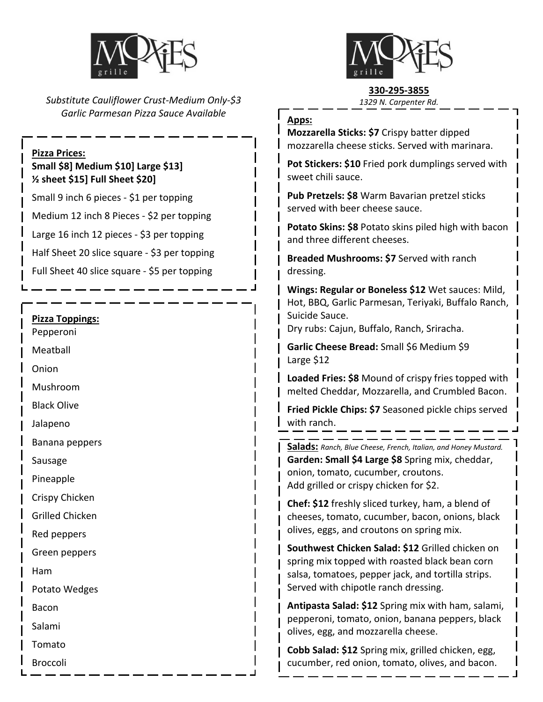

*Substitute Cauliflower Crust-Medium Only-\$3 Garlic Parmesan Pizza Sauce Available*

#### **Pizza Prices:**

## **Small \$8] Medium \$10] Large \$13] ½ sheet \$15] Full Sheet \$20]**

Small 9 inch 6 pieces - \$1 per topping

Medium 12 inch 8 Pieces - \$2 per topping

Large 16 inch 12 pieces - \$3 per topping

Half Sheet 20 slice square - \$3 per topping

Full Sheet 40 slice square - \$5 per topping

#### **Pizza Toppings:**

Pepperoni

Meatball

Onion

Mushroom

Black Olive

Jalapeno

Banana peppers

Sausage

Pineapple

Crispy Chicken

Grilled Chicken

Red peppers

Green peppers

Ham

Potato Wedges

Bacon

Salami

Tomato

Broccoli



## **330-295-3855**

*1329 N. Carpenter Rd.*

#### **Apps:**

**Mozzarella Sticks: \$7** Crispy batter dipped mozzarella cheese sticks. Served with marinara.

**Pot Stickers: \$10** Fried pork dumplings served with sweet chili sauce.

**Pub Pretzels: \$8** Warm Bavarian pretzel sticks served with beer cheese sauce.

**Potato Skins: \$8** Potato skins piled high with bacon and three different cheeses.

**Breaded Mushrooms: \$7** Served with ranch dressing.

**Wings: Regular or Boneless \$12** Wet sauces: Mild, Hot, BBQ, Garlic Parmesan, Teriyaki, Buffalo Ranch, Suicide Sauce.

Dry rubs: Cajun, Buffalo, Ranch, Sriracha.

**Garlic Cheese Bread:** Small \$6 Medium \$9 Large \$12

**Loaded Fries: \$8** Mound of crispy fries topped with melted Cheddar, Mozzarella, and Crumbled Bacon.

**Fried Pickle Chips: \$7** Seasoned pickle chips served with ranch.

**Salads:** *Ranch, Blue Cheese, French, Italian, and Honey Mustard.* **Garden: Small \$4 Large \$8** Spring mix, cheddar, onion, tomato, cucumber, croutons. Add grilled or crispy chicken for \$2.

**Chef: \$12** freshly sliced turkey, ham, a blend of cheeses, tomato, cucumber, bacon, onions, black olives, eggs, and croutons on spring mix.

**Southwest Chicken Salad: \$12** Grilled chicken on spring mix topped with roasted black bean corn salsa, tomatoes, pepper jack, and tortilla strips. Served with chipotle ranch dressing.

**Antipasta Salad: \$12** Spring mix with ham, salami, pepperoni, tomato, onion, banana peppers, black olives, egg, and mozzarella cheese.

**Cobb Salad: \$12** Spring mix, grilled chicken, egg, cucumber, red onion, tomato, olives, and bacon.